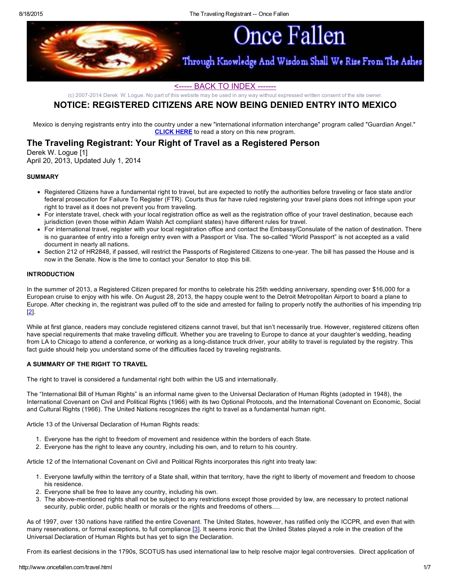

# <----- BACK TO [INDEX](http://www.oncefallen.com/index.html) -------

(c) 20072014 Derek W. Logue. No part of this website may be used in any way without expressed written consent of the site owner.

# NOTICE: REGISTERED CITIZENS ARE NOW BEING DENIED ENTRY INTO MEXICO

Mexico is denying registrants entry into the country under a new "international information interchange" program called "Guardian Angel." [CLICK](http://www.banderasnews.com/1405/nb-mexico-guardian-angel-program.htm) HERE to read a story on this new program.

# The Traveling Registrant: Your Right of Travel as a Registered Person

Derek W. Logue [1] April 20, 2013, Updated July 1, 2014

### **SUMMARY**

- Registered Citizens have a fundamental right to travel, but are expected to notify the authorities before traveling or face state and/or federal prosecution for Failure To Register (FTR). Courts thus far have ruled registering your travel plans does not infringe upon your right to travel as it does not prevent you from traveling.
- For interstate travel, check with your local registration office as well as the registration office of your travel destination, because each jurisdiction (even those within Adam Walsh Act compliant states) have different rules for travel.
- For international travel, register with your local registration office and contact the Embassy/Consulate of the nation of destination. There is no guarantee of entry into a foreign entry even with a Passport or Visa. The so-called "World Passport" is not accepted as a valid document in nearly all nations.
- Section 212 of HR2848, if passed, will restrict the Passports of Registered Citizens to one-year. The bill has passed the House and is now in the Senate. Now is the time to contact your Senator to stop this bill.

## INTRODUCTION

In the summer of 2013, a Registered Citizen prepared for months to celebrate his 25th wedding anniversary, spending over \$16,000 for a European cruise to enjoy with his wife. On August 28, 2013, the happy couple went to the Detroit Metropolitan Airport to board a plane to Europe. After checking in, the registrant was pulled off to the side and arrested for failing to properly notify the authorities of his impending trip [[2\]](http://www.macombdaily.com/general-news/20130904/child-molester-in-macomb-county-stopped-from-leaving-country).

While at first glance, readers may conclude registered citizens cannot travel, but that isn't necessarily true. However, registered citizens often have special requirements that make traveling difficult. Whether you are traveling to Europe to dance at your daughter's wedding, heading from LA to Chicago to attend a conference, or working as a long-distance truck driver, your ability to travel is regulated by the registry. This fact guide should help you understand some of the difficulties faced by traveling registrants.

## A SUMMARY OF THE RIGHT TO TRAVEL

The right to travel is considered a fundamental right both within the US and internationally.

The "International Bill of Human Rights" is an informal name given to the Universal Declaration of Human Rights (adopted in 1948), the International Covenant on Civil and Political Rights (1966) with its two Optional Protocols, and the International Covenant on Economic, Social and Cultural Rights (1966). The United Nations recognizes the right to travel as a fundamental human right.

Article 13 of the Universal Declaration of Human Rights reads:

- 1. Everyone has the right to freedom of movement and residence within the borders of each State.
- 2. Everyone has the right to leave any country, including his own, and to return to his country.

Article 12 of the International Covenant on Civil and Political Rights incorporates this right into treaty law:

- 1. Everyone lawfully within the territory of a State shall, within that territory, have the right to liberty of movement and freedom to choose his residence.
- 2. Everyone shall be free to leave any country, including his own.
- 3. The above-mentioned rights shall not be subject to any restrictions except those provided by law, are necessary to protect national security, public order, public health or morals or the rights and freedoms of others….

As of 1997, over 130 nations have ratified the entire Covenant. The United States, however, has ratified only the ICCPR, and even that with many reservations, or formal exceptions, to full compliance [\[3\]](http://www1.umn.edu/humanrts/edumat/hreduseries/hereandnow/Part-1/short-history.htm). It seems ironic that the United States played a role in the creation of the Universal Declaration of Human Rights but has yet to sign the Declaration.

From its earliest decisions in the 1790s, SCOTUS has used international law to help resolve major legal controversies. Direct application of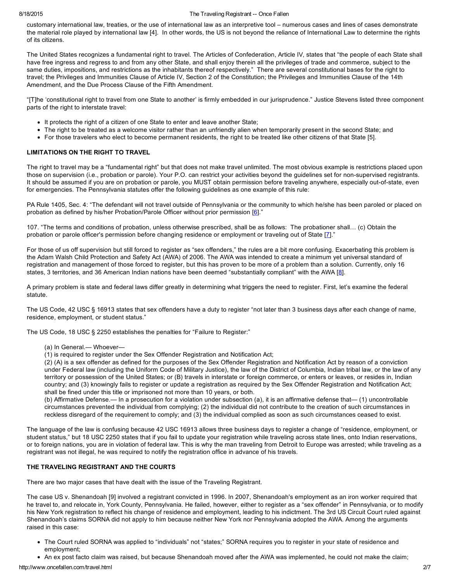### 8/18/2015 **The Traveling Registrant -- Once Fallen**

customary international law, treaties, or the use of international law as an interpretive tool – numerous cases and lines of cases demonstrate the material role played by international law [4]. In other words, the US is not beyond the reliance of International Law to determine the rights of its citizens.

The United States recognizes a fundamental right to travel. The Articles of Confederation, Article IV, states that "the people of each State shall have free ingress and regress to and from any other State, and shall enjoy therein all the privileges of trade and commerce, subject to the same duties, impositions, and restrictions as the inhabitants thereof respectively." There are several constitutional bases for the right to travel; the Privileges and Immunities Clause of Article IV, Section 2 of the Constitution; the Privileges and Immunities Clause of the 14th Amendment, and the Due Process Clause of the Fifth Amendment.

"[T]he 'constitutional right to travel from one State to another' is firmly embedded in our jurisprudence." Justice Stevens listed three component parts of the right to interstate travel:

- It protects the right of a citizen of one State to enter and leave another State;
- The right to be treated as a welcome visitor rather than an unfriendly alien when temporarily present in the second State; and
- For those travelers who elect to become permanent residents, the right to be treated like other citizens of that State [5].

# LIMITATIONS ON THE RIGHT TO TRAVEL

The right to travel may be a "fundamental right" but that does not make travel unlimited. The most obvious example is restrictions placed upon those on supervision (i.e., probation or parole). Your P.O. can restrict your activities beyond the guidelines set for non-supervised registrants. It should be assumed if you are on probation or parole, you MUST obtain permission before traveling anywhere, especially out-of-state, even for emergencies. The Pennsylvania statutes offer the following guidelines as one example of this rule:

PA Rule 1405, Sec. 4: "The defendant will not travel outside of Pennsylvania or the community to which he/she has been paroled or placed on probation as defined by his/her Probation/Parole Officer without prior permission [\[6\]](http://www.warrenforestcourt.org/Rules/1405)."

107. "The terms and conditions of probation, unless otherwise prescribed, shall be as follows: The probationer shall… (c) Obtain the probation or parole officer's permission before changing residence or employment or traveling out of State [[7\]](http://www.courts.state.nh.us/rules/sror/sror-h3-107.htm)."

For those of us off supervision but still forced to register as "sex offenders," the rules are a bit more confusing. Exacerbating this problem is the Adam Walsh Child Protection and Safety Act (AWA) of 2006. The AWA was intended to create a minimum yet universal standard of registration and management of those forced to register, but this has proven to be more of a problem than a solution. Currently, only 16 states, 3 territories, and 36 American Indian nations have been deemed "substantially compliant" with the AWA [\[8\]](http://www.oncefallen.com/AdamWalshAct.html).

A primary problem is state and federal laws differ greatly in determining what triggers the need to register. First, let's examine the federal statute.

The US Code, 42 USC § 16913 states that sex offenders have a duty to register "not later than 3 business days after each change of name, residence, employment, or student status."

The US Code, 18 USC § 2250 establishes the penalties for "Failure to Register:"

- (a) In General.— Whoever—
- (1) is required to register under the Sex Offender Registration and Notification Act;

(2) (A) is a sex offender as defined for the purposes of the Sex Offender Registration and Notification Act by reason of a conviction under Federal law (including the Uniform Code of Military Justice), the law of the District of Columbia, Indian tribal law, or the law of any territory or possession of the United States; or (B) travels in interstate or foreign commerce, or enters or leaves, or resides in, Indian country; and (3) knowingly fails to register or update a registration as required by the Sex Offender Registration and Notification Act; shall be fined under this title or imprisoned not more than 10 years, or both.

(b) Affirmative Defense.— In a prosecution for a violation under subsection (a), it is an affirmative defense that— (1) uncontrollable circumstances prevented the individual from complying; (2) the individual did not contribute to the creation of such circumstances in reckless disregard of the requirement to comply; and (3) the individual complied as soon as such circumstances ceased to exist.

The language of the law is confusing because 42 USC 16913 allows three business days to register a change of "residence, employment, or student status," but 18 USC 2250 states that if you fail to update your registration while traveling across state lines, onto Indian reservations, or to foreign nations, you are in violation of federal law. This is why the man traveling from Detroit to Europe was arrested; while traveling as a registrant was not illegal, he was required to notify the registration office in advance of his travels.

## THE TRAVELING REGISTRANT AND THE COURTS

There are two major cases that have dealt with the issue of the Traveling Registrant.

The case US v. Shenandoah [9] involved a registrant convicted in 1996. In 2007, Shenandoah's employment as an iron worker required that he travel to, and relocate in, York County, Pennsylvania. He failed, however, either to register as a "sex offender" in Pennsylvania, or to modify his New York registration to reflect his change of residence and employment, leading to his indictment. The 3rd US Circuit Court ruled against Shenandoah's claims SORNA did not apply to him because neither New York nor Pennsylvania adopted the AWA. Among the arguments raised in this case:

- The Court ruled SORNA was applied to "individuals" not "states;" SORNA requires you to register in your state of residence and employment;
- An ex post facto claim was raised, but because Shenandoah moved after the AWA was implemented, he could not make the claim;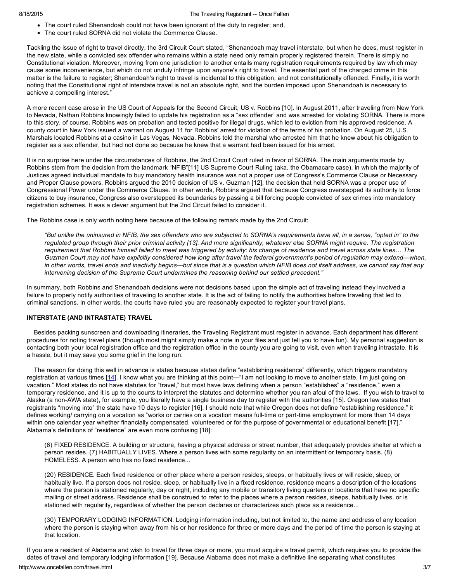- The court ruled Shenandoah could not have been ignorant of the duty to register; and,
- The court ruled SORNA did not violate the Commerce Clause.

Tackling the issue of right to travel directly, the 3rd Circuit Court stated, "Shenandoah may travel interstate, but when he does, must register in the new state, while a convicted sex offender who remains within a state need only remain properly registered therein. There is simply no Constitutional violation. Moreover, moving from one jurisdiction to another entails many registration requirements required by law which may cause some inconvenience, but which do not unduly infringe upon anyone's right to travel. The essential part of the charged crime in this matter is the failure to register; Shenandoah's right to travel is incidental to this obligation, and not constitutionally offended. Finally, it is worth noting that the Constitutional right of interstate travel is not an absolute right, and the burden imposed upon Shenandoah is necessary to achieve a compelling interest."

A more recent case arose in the US Court of Appeals for the Second Circuit, US v. Robbins [10]. In August 2011, after traveling from New York to Nevada, Nathan Robbins knowingly failed to update his registration as a "sex offender' and was arrested for violating SORNA. There is more to this story, of course. Robbins was on probation and tested positive for illegal drugs, which led to eviction from his approved residence. A county court in New York issued a warrant on August 11 for Robbins' arrest for violation of the terms of his probation. On August 25, U.S. Marshals located Robbins at a casino in Las Vegas, Nevada. Robbins told the marshal who arrested him that he knew about his obligation to register as a sex offender, but had not done so because he knew that a warrant had been issued for his arrest.

It is no surprise here under the circumstances of Robbins, the 2nd Circuit Court ruled in favor of SORNA. The main arguments made by Robbins stem from the decision from the landmark "NFIB"[11] US Supreme Court Ruling (aka, the Obamacare case), in which the majority of Justices agreed individual mandate to buy mandatory health insurance was not a proper use of Congress's Commerce Clause or Necessary and Proper Clause powers. Robbins argued the 2010 decision of US v. Guzman [12], the decision that held SORNA was a proper use of Congressional Power under the Commerce Clause. In other words, Robbins argued that because Congress overstepped its authority to force citizens to buy insurance, Congress also overstepped its boundaries by passing a bill forcing people convicted of sex crimes into mandatory registration schemes. It was a clever argument but the 2nd Circuit failed to consider it.

The Robbins case is only worth noting here because of the following remark made by the 2nd Circuit:

"But unlike the uninsured in NFIB, the sex offenders who are subjected to SORNA's requirements have all, in a sense, "opted in" to the requlated group through their prior criminal activity [13]. And more significantly, whatever else SORNA might require. The registration requirement that Robbins himself failed to meet was triggered by activity: his change of residence and travel across state lines... The Guzman Court may not have explicitly considered how long after travel the federal government's period of regulation may extend—when, in other words, travel ends and inactivity begins—but since that is a question which NFIB does not itself address, we cannot say that any *intervening decision of the Supreme Court undermines the reasoning behind our settled precedent."*

In summary, both Robbins and Shenandoah decisions were not decisions based upon the simple act of traveling instead they involved a failure to properly notify authorities of traveling to another state. It is the act of failing to notify the authorities before traveling that led to criminal sanctions. In other words, the courts have ruled you are reasonably expected to register your travel plans.

### INTERSTATE (AND INTRASTATE) TRAVEL

Besides packing sunscreen and downloading itineraries, the Traveling Registrant must register in advance. Each department has different procedures for noting travel plans (though most might simply make a note in your files and just tell you to have fun). My personal suggestion is contacting both your local registration office and the registration office in the county you are going to visit, even when traveling intrastate. It is a hassle, but it may save you some grief in the long run.

The reason for doing this well in advance is states because states define "establishing residence" differently, which triggers mandatory registration at various times [\[14\]](http://www.interstatecompact.org/Portals/0/library/surveys/SexOffender_Travel_01.pdf). I know what you are thinking at this point—"I am not looking to move to another state, I'm just going on vacation." Most states do not have statutes for "travel," but most have laws defining when a person "establishes" a "residence," even a temporary residence, and it is up to the courts to interpret the statutes and determine whether you ran afoul of the laws. If you wish to travel to Alaska (a non-AWA state), for example, you literally have a single business day to register with the authorities [15]. Oregon law states that registrants "moving into" the state have 10 days to register [16]. I should note that while Oregon does not define "establishing residence," it defines working/ carrying on a vocation as "works or carries on a vocation means full-time or part-time employment for more than 14 days within one calendar year whether financially compensated, volunteered or for the purpose of governmental or educational benefit [17]." Alabama's definitions of "residence" are even more confusing [18]:

(6) FIXED RESIDENCE. A building or structure, having a physical address or street number, that adequately provides shelter at which a person resides. (7) HABITUALLY LIVES. Where a person lives with some regularity on an intermittent or temporary basis. (8) HOMELESS. A person who has no fixed residence...

(20) RESIDENCE. Each fixed residence or other place where a person resides, sleeps, or habitually lives or will reside, sleep, or habitually live. If a person does not reside, sleep, or habitually live in a fixed residence, residence means a description of the locations where the person is stationed regularly, day or night, including any mobile or transitory living quarters or locations that have no specific mailing or street address. Residence shall be construed to refer to the places where a person resides, sleeps, habitually lives, or is stationed with regularity, regardless of whether the person declares or characterizes such place as a residence...

(30) TEMPORARY LODGING INFORMATION. Lodging information including, but not limited to, the name and address of any location where the person is staying when away from his or her residence for three or more days and the period of time the person is staying at that location.

If you are a resident of Alabama and wish to travel for three days or more, you must acquire a travel permit, which requires you to provide the dates of travel and temporary lodging information [19]. Because Alabama does not make a definitive line separating what constitutes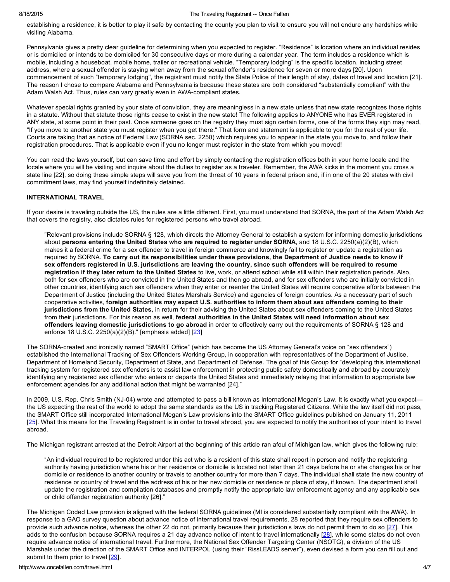### 8/18/2015 The Traveling Registrant Once Fallen

establishing a residence, it is better to play it safe by contacting the county you plan to visit to ensure you will not endure any hardships while visiting Alabama.

Pennsylvania gives a pretty clear guideline for determining when you expected to register. "Residence" is location where an individual resides or is domiciled or intends to be domiciled for 30 consecutive days or more during a calendar year. The term includes a residence which is mobile, including a houseboat, mobile home, trailer or recreational vehicle. "Temporary lodging" is the specific location, including street address, where a sexual offender is staying when away from the sexual offender's residence for seven or more days [20]. Upon commencement of such "temporary lodging", the registrant must notify the State Police of their length of stay, dates of travel and location [21]. The reason I chose to compare Alabama and Pennsylvania is because these states are both considered "substantially compliant" with the Adam Walsh Act. Thus, rules can vary greatly even in AWA-compliant states.

Whatever special rights granted by your state of conviction, they are meaningless in a new state unless that new state recognizes those rights in a statute. Without that statute those rights cease to exist in the new state! The following applies to ANYONE who has EVER registered in ANY state, at some point in their past. Once someone goes on the registry they must sign certain forms, one of the forms they sign may read, "If you move to another state you must register when you get there." That form and statement is applicable to you for the rest of your life. Courts are taking that as notice of Federal Law (SORNA sec. 2250) which requires you to appear in the state you move to, and follow their registration procedures. That is applicable even if you no longer must register in the state from which you moved!

You can read the laws yourself, but can save time and effort by simply contacting the registration offices both in your home locale and the locale where you will be visiting and inquire about the duties to register as a traveler. Remember, the AWA kicks in the moment you cross a state line [22], so doing these simple steps will save you from the threat of 10 years in federal prison and, if in one of the 20 states with civil commitment laws, may find yourself indefinitely detained.

### INTERNATIONAL TRAVEL

If your desire is traveling outside the US, the rules are a little different. First, you must understand that SORNA, the part of the Adam Walsh Act that covers the registry, also dictates rules for registered persons who travel abroad.

"Relevant provisions include SORNA § 128, which directs the Attorney General to establish a system for informing domestic jurisdictions about persons entering the United States who are required to register under SORNA, and 18 U.S.C. 2250(a)(2)(B), which makes it a federal crime for a sex offender to travel in foreign commerce and knowingly fail to register or update a registration as required by SORNA. To carry out its responsibilities under these provisions, the Department of Justice needs to know if sex offenders registered in U.S. jurisdictions are leaving the country, since such offenders will be required to resume registration if they later return to the United States to live, work, or attend school while still within their registration periods. Also, both for sex offenders who are convicted in the United States and then go abroad, and for sex offenders who are initially convicted in other countries, identifying such sex offenders when they enter or reenter the United States will require cooperative efforts between the Department of Justice (including the United States Marshals Service) and agencies of foreign countries. As a necessary part of such cooperative activities, foreign authorities may expect U.S. authorities to inform them about sex offenders coming to their jurisdictions from the United States, in return for their advising the United States about sex offenders coming to the United States from their jurisdictions. For this reason as well, federal authorities in the United States will need information about sex offenders leaving domestic jurisdictions to go abroad in order to effectively carry out the requirements of SORNA § 128 and enforce 18 U.S.C. 2250(a)(2)(B)." [emphasis added] [\[23\]](http://www.ojp.usdoj.gov/smart/pdfs/InternationalTrackingofSexOffendersWorkingGroup.pdf)

The SORNA-created and ironically named "SMART Office" (which has become the US Attorney General's voice on "sex offenders") established the International Tracking of Sex Offenders Working Group, in cooperation with representatives of the Department of Justice, Department of Homeland Security, Department of State, and Department of Defense. The goal of this Group for "developing this international tracking system for registered sex offenders is to assist law enforcement in protecting public safety domestically and abroad by accurately identifying any registered sex offender who enters or departs the United States and immediately relaying that information to appropriate law enforcement agencies for any additional action that might be warranted [24]."

In 2009, U.S. Rep. Chris Smith (NJ-04) wrote and attempted to pass a bill known as International Megan's Law. It is exactly what you expect the US expecting the rest of the world to adopt the same standards as the US in tracking Registered Citizens. While the law itself did not pass, the SMART Office still incorporated International Megan's Law provisions into the SMART Office guidelines published on January 11, 2011 [[25\]](http://eadvocate-community.blogspot.com/2011/05/topic-traveling-to-foreign-countries.html). What this means for the Traveling Registrant is in order to travel abroad, you are expected to notify the authorities of your intent to travel abroad.

The Michigan registrant arrested at the Detroit Airport at the beginning of this article ran afoul of Michigan law, which gives the following rule:

"An individual required to be registered under this act who is a resident of this state shall report in person and notify the registering authority having jurisdiction where his or her residence or domicile is located not later than 21 days before he or she changes his or her domicile or residence to another country or travels to another country for more than 7 days. The individual shall state the new country of residence or country of travel and the address of his or her new domicile or residence or place of stay, if known. The department shall update the registration and compilation databases and promptly notify the appropriate law enforcement agency and any applicable sex or child offender registration authority [26]."

The Michigan Coded Law provision is aligned with the federal SORNA guidelines (MI is considered substantially compliant with the AWA). In response to a GAO survey question about advance notice of international travel requirements, 28 reported that they require sex offenders to provide such advance notice, whereas the other 22 do not, primarily because their jurisdiction's laws do not permit them to do so [\[27](http://www.gao.gov/assets/660/652194.pdf)]. This adds to the confusion because SORNA requires a 21 day advance notice of intent to travel internationally [\[28\]](http://www.ojp.usdoj.gov/smart/smartwatch/12_spring/resources-2.html), while some states do not even require advance notice of international travel. Furthermore, the National Sex Offender Targeting Center (NSOTG), a division of the US Marshals under the direction of the SMART Office and INTERPOL (using their "RissLEADS server"), even devised a form you can fill out and submit to them prior to travel [\[29](http://www.interstatecompact.org/Portals/0/library/misc/USMS_InternationalTravelForm.pdf)].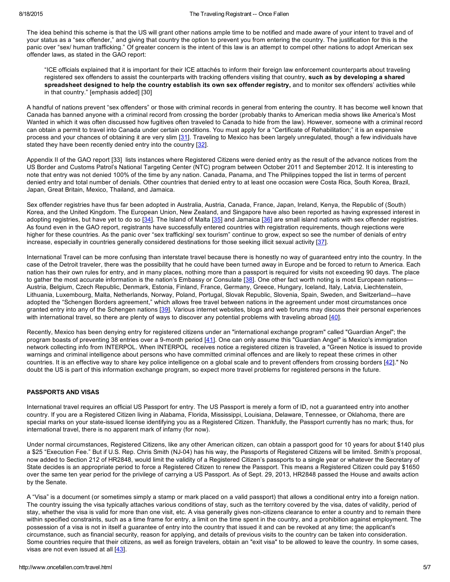The idea behind this scheme is that the US will grant other nations ample time to be notified and made aware of your intent to travel and of your status as a "sex offender," and giving that country the option to prevent you from entering the country. The justification for this is the panic over "sex/ human trafficking." Of greater concern is the intent of this law is an attempt to compel other nations to adopt American sex offender laws, as stated in the GAO report:

"ICE officials explained that it is important for their ICE attachés to inform their foreign law enforcement counterparts about traveling registered sex offenders to assist the counterparts with tracking offenders visiting that country, such as by developing a shared spreadsheet designed to help the country establish its own sex offender registry, and to monitor sex offenders' activities while in that country." [emphasis added] [30]

A handful of nations prevent "sex offenders" or those with criminal records in general from entering the country. It has become well known that Canada has banned anyone with a criminal record from crossing the border (probably thanks to American media shows like America's Most Wanted in which it was often discussed how fugitives often traveled to Canada to hide from the law). However, someone with a criminal record can obtain a permit to travel into Canada under certain conditions. You must apply for a "Certificate of Rehabilitation;" it is an expensive process and your chances of obtaining it are very slim [[31\]](http://www.cic.gc.ca/english/information/applications/guides/5312ETOC.asp). Traveling to Mexico has been largely unregulated, though a few individuals have stated they have been recently denied entry into the country [\[32\]](http://californiarsol.org/2014/02/international-travel-mexico/).

Appendix II of the GAO report [33] lists instances where Registered Citizens were denied entry as the result of the advance notices from the US Border and Customs Patrol's National Targeting Center (NTC) program between October 2011 and September 2012. It is interesting to note that entry was not denied 100% of the time by any nation. Canada, Panama, and The Philippines topped the list in terms of percent denied entry and total number of denials. Other countries that denied entry to at least one occasion were Costa Rica, South Korea, Brazil, Japan, Great Britain, Mexico, Thailand, and Jamaica.

Sex offender registries have thus far been adopted in Australia, Austria, Canada, France, Japan, Ireland, Kenya, the Republic of (South) Korea, and the United Kingdom. The European Union, New Zealand, and Singapore have also been reported as having expressed interest in adopting registries, but have yet to do so [\[34\]](http://www.avvo.com/legal-guides/ugc/sex-offender-laws-expanding-internationally). The Island of Malta [[35\]](http://www.maltastar.com/dart/20121020-three-men-are-on-sex-offenders-register) and Jamaica [\[36\]](http://jamaica-gleaner.com/latest/article.php?id=48501) are small island nations with sex offender registries. As found even in the GAO report, registrants have successfully entered countries with registration requirements, though rejections were higher for these countries. As the panic over "sex trafficking/ sex tourism" continue to grow, expect so see the number of denials of entry increase, especially in countries generally considered destinations for those seeking illicit sexual activity [\[37](http://www.koreatimes.co.kr/www/news/include/print.asp?newsIdx=23879)].

International Travel can be more confusing than interstate travel because there is honestly no way of guaranteed entry into the country. In the case of the Detroit traveler, there was the possibility that he could have been turned away in Europe and be forced to return to America. Each nation has their own rules for entry, and in many places, nothing more than a passport is required for visits not exceeding 90 days. The place to gather the most accurate information is the nation's Embassy or Consulate [\[38\]](http://www.paep.uscourts.gov/images/Travel%20Restrictions.pdf). One other fact worth noting is most European nations-Austria, Belgium, Czech Republic, Denmark, Estonia, Finland, France, Germany, Greece, Hungary, Iceland, Italy, Latvia, Liechtenstein, Lithuania, Luxembourg, Malta, Netherlands, Norway, Poland, Portugal, Slovak Republic, Slovenia, Spain, Sweden, and Switzerland—have adopted the "Schengen Borders agreement," which allows free travel between nations in the agreement under most circumstances once granted entry into any of the Schengen nations [\[39](http://travel.state.gov/travel/cis_pa_tw/cis/cis_4361.html)]. Various internet websites, blogs and web forums may discuss their personal experiences with international travel, so there are plenty of ways to discover any potential problems with traveling abroad [\[40](http://constitutionalfights.wordpress.com/international-travel/)].

Recently, Mexico has been denying entry for registered citizens under an "international exchange program" called "Guardian Angel"; the program boasts of preventing 38 entries over a 9-month period [\[41\]](http://www.banderasnews.com/1405/nb-mexico-guardian-angel-program.htm). One can only assume this "Guardian Angel" is Mexico's immigration network collecting info from INTERPOL. When INTERPOL receives notice a registered citizen is traveled, a "Green Notice is issued to provide warnings and criminal intelligence about persons who have committed criminal offences and are likely to repeat these crimes in other countries. It is an effective way to share key police intelligence on a global scale and to prevent offenders from crossing borders [[42\]](http://www.interpol.int/Crime-areas/Crimes-against-children/Sex-offenders)." No doubt the US is part of this information exchange program, so expect more travel problems for registered persons in the future.

## PASSPORTS AND VISAS

International travel requires an official US Passport for entry. The US Passport is merely a form of ID, not a guaranteed entry into another country. If you are a Registered Citizen living in Alabama, Florida, Mississippi, Louisiana, Delaware, Tennessee, or Oklahoma, there are special marks on your state-issued license identifying you as a Registered Citizen. Thankfully, the Passport currently has no mark; thus, for international travel, there is no apparent mark of infamy (for now).

Under normal circumstances, Registered Citizens, like any other American citizen, can obtain a passport good for 10 years for about \$140 plus a \$25 "Execution Fee." But if U.S. Rep. Chris Smith (NJ-04) has his way, the Passports of Registered Citizens will be limited. Smith's proposal, now added to Section 212 of HR2848, would limit the validity of a Registered Citizen's passports to a single year or whatever the Secretary of State decides is an appropriate period to force a Registered Citizen to renew the Passport. This means a Registered Citizen could pay \$1650 over the same ten year period for the privilege of carrying a US Passport. As of Sept. 29, 2013, HR2848 passed the House and awaits action by the Senate.

A "Visa" is a document (or sometimes simply a stamp or mark placed on a valid passport) that allows a conditional entry into a foreign nation. The country issuing the visa typically attaches various conditions of stay, such as the territory covered by the visa, dates of validity, period of stay, whether the visa is valid for more than one visit, etc. A visa generally gives non-citizens clearance to enter a country and to remain there within specified constraints, such as a time frame for entry, a limit on the time spent in the country, and a prohibition against employment. The possession of a visa is not in itself a guarantee of entry into the country that issued it and can be revoked at any time; the applicant's circumstance, such as financial security, reason for applying, and details of previous visits to the country can be taken into consideration. Some countries require that their citizens, as well as foreign travelers, obtain an "exit visa" to be allowed to leave the country. In some cases, visas are not even issued at all [\[43\]](http://en.wikipedia.org/wiki/Visa_(document)).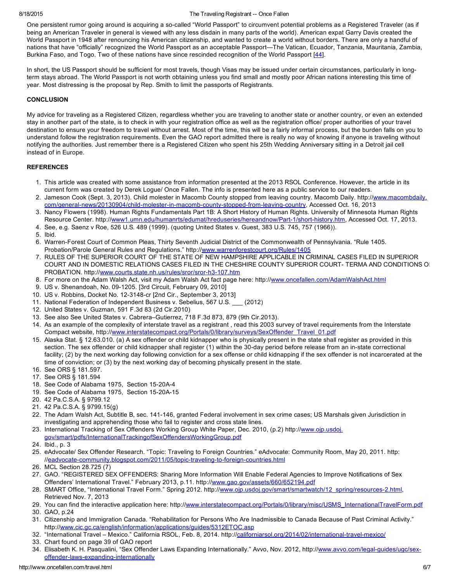### 8/18/2015 **The Traveling Registrant -- Once Fallen**

One persistent rumor going around is acquiring a so-called "World Passport" to circumvent potential problems as a Registered Traveler (as if being an American Traveler in general is viewed with any less disdain in many parts of the world). American expat Garry Davis created the World Passport in 1948 after renouncing his American citizenship, and wanted to create a world without borders. There are only a handful of nations that have "officially" recognized the World Passport as an acceptable Passport—The Vatican, Ecuador, Tanzania, Mauritania, Zambia, Burkina Faso, and Togo. Two of these nations have since rescinded recognition of the World Passport [[44\]](http://nomadcapitalist.com/2013/05/28/is-the-world-service-authority-passport-a-real-second-passport/).

In short, the US Passport should be sufficient for most travels, though Visas may be issued under certain circumstances, particularly in longterm stays abroad. The World Passport is not worth obtaining unless you find small and mostly poor African nations interesting this time of year. Most distressing is the proposal by Rep. Smith to limit the passports of Registrants.

### **CONCLUSION**

My advice for traveling as a Registered Citizen, regardless whether you are traveling to another state or another country, or even an extended stay in another part of the state, is to check in with your registration office as well as the registration office/ proper authorities of your travel destination to ensure your freedom to travel without arrest. Most of the time, this will be a fairly informal process, but the burden falls on you to understand follow the registration requirements. Even the GAO report admitted there is really no way of knowing if anyone is traveling without notifying the authorities. Just remember there is a Registered Citizen who spent his 25th Wedding Anniversary sitting in a Detroit jail cell instead of in Europe.

### **REFERENCES**

- 1. This article was created with some assistance from information presented at the 2013 RSOL Conference. However, the article in its current form was created by Derek Logue/ Once Fallen. The info is presented here as a public service to our readers.
- 2. Jameson Cook (Sept. 3, 2013). Child molester in Macomb County stopped from leaving country. Macomb Daily. http:/[/www.macombdaily.](http://www.macombdaily.com/general-news/20130904/child-molester-in-macomb-county-stopped-from-leaving-country) com/general-news/20130904/child-molester-in-macomb-county-stopped-from-leaving-country, Accessed Oct. 16, 2013
- 3. Nancy Flowers (1998). Human Rights Fundamentals Part 1B: A Short History of Human Rights. University of Minnesota Human Rights Resource Center. http://www1.umn.edu/humanrts/edumat/hreduseries/hereandnow/Part-1/short-history.htm, Accessed Oct. 17, 2013.
- 4. See, e.g. Saenz v Roe, 526 U.S. 489 (1999). (quoting United States v. Guest, 383 U.S. 745, 757 (1966)).
- 5. Ibid.
- 6. Warren-Forest Court of Common Pleas, Thirty Seventh Judicial District of the Commonwealth of Pennsylvania. "Rule 1405. Probation/Parole General Rules and Regulations." http:/[/www.warrenforestcourt.org/Rules/1405](http://www.warrenforestcourt.org/Rules/1405)
- 7. RULES OF THE SUPERIOR COURT OF THE STATE OF NEW HAMPSHIRE APPLICABLE IN CRIMINAL CASES FILED IN SUPERIOR COURT AND IN DOMESTIC RELATIONS CASES FILED IN THE CHESHIRE COUNTY SUPERIOR COURT- TERMA AND CONDITIONS O PROBATION. http://www.courts.state.nh.us/rules/sror/sror-h3-107.htm
- 8. For more on the Adam Walsh Act, visit my Adam Walsh Act fact page here: http://[www.oncefallen.com/AdamWalshAct.html](http://www.oncefallen.com/AdamWalshAct.html)
- 9. US v. Shenandoah, No. 09-1205. [3rd Circuit, February 09, 2010]
- 10. US v. Robbins, Docket No. 12-3148-cr [2nd Cir., September 3, 2013]
- 11. National Federation of Independent Business v. Sebelius, 567 U.S. \_\_\_ (2012)
- 12. United States v. Guzman, 591 F.3d 83 (2d Cir.2010)
- 13. See also See United States v. Cabrera–Gutierrez, 718 F.3d 873, 879 (9th Cir.2013).
- 14. As an example of the complexity of interstate travel as a registrant , read this 2003 survey of travel requirements from the Interstate Compact website, http:/[/www.interstatecompact.org/Portals/0/library/surveys/SexOffender\\_Travel\\_01.pdf](http://www.interstatecompact.org/Portals/0/library/surveys/SexOffender_Travel_01.pdf)
- 15. Alaska Stat. § 12.63.010. (a) A sex offender or child kidnapper who is physically present in the state shall register as provided in this section. The sex offender or child kidnapper shall register (1) within the 30-day period before release from an in-state correctional facility; (2) by the next working day following conviction for a sex offense or child kidnapping if the sex offender is not incarcerated at the time of conviction; or (3) by the next working day of becoming physically present in the state.
- 16. See ORS § 181.597.
- 17. See ORS § 181.594
- 18. See Code of Alabama 1975, Section 15-20A-4
- 19. See Code of Alabama 1975, Section 15-20A-15
- 20. 42 Pa.C.S.A. § 9799.12
- 21. 42 Pa.C.S.A. § 9799.15(g)
- 22. The Adam Walsh Act, Subtitle B, sec. 141146, granted Federal involvement in sex crime cases; US Marshals given Jurisdiction in investigating and apprehending those who fail to register and cross state lines.
- 23. International Tracking of Sex Offenders Working Group White Paper, Dec. 2010, (p.2) http:/[/www.ojp.usdoj.](http://www.ojp.usdoj.gov/smart/pdfs/InternationalTrackingofSexOffendersWorkingGroup.pdf)
- [gov/smart/pdfs/InternationalTrackingofSexOffendersWorkingGroup.pdf](http://www.ojp.usdoj.gov/smart/pdfs/InternationalTrackingofSexOffendersWorkingGroup.pdf)
- 24. Ibid., p. 3
- 25. eAdvocate/ Sex Offender Research. "Topic: Traveling to Foreign Countries." eAdvocate: Community Room, May 20, 2011. http: //eadvocate-community.blogspot.com/2011/05/topic-traveling-to-foreign-countries.html
- 26. MCL Section 28.725 (7)
- 27. GAO. "REGISTERED SEX OFFENDERS: Sharing More Information Will Enable Federal Agencies to Improve Notifications of Sex Offenders' International Travel." February 2013, p.11. http:/[/www.gao.gov/assets/660/652194.pdf](http://www.gao.gov/assets/660/652194.pdf)
- 28. SMART Office, "International Travel Form." Spring 2012. http://www.ojp.usdoj.gov/smart/smartwatch/12\_spring/resources-2.html, Retrieved Nov. 7, 2013
- 29. You can find the interactive application here: http:/[/www.interstatecompact.org/Portals/0/library/misc/USMS\\_InternationalTravelForm.pdf](http://www.interstatecompact.org/Portals/0/library/misc/USMS_InternationalTravelForm.pdf)
- 30. GAO, p.24
- 31. Citizenship and Immigration Canada. "Rehabilitation for Persons Who Are Inadmissible to Canada Because of Past Criminal Activity." http:/[/www.cic.gc.ca/english/information/applications/guides/5312ETOC.asp](http://www.cic.gc.ca/english/information/applications/guides/5312ETOC.asp)
- 32. "International Travel Mexico." California RSOL, Feb. 8, 2014. http://californiarsol.org/2014/02/international-travel-mexico/
- 33. Chart found on page 39 of GAO report
- 34. Elisabeth K. H. Pasqualini, "Sex Offender Laws Expanding Internationally." Avvo, Nov. 2012, http://www.avvo.com/legal-guides/ugc/sexoffender-laws-expanding-internationally